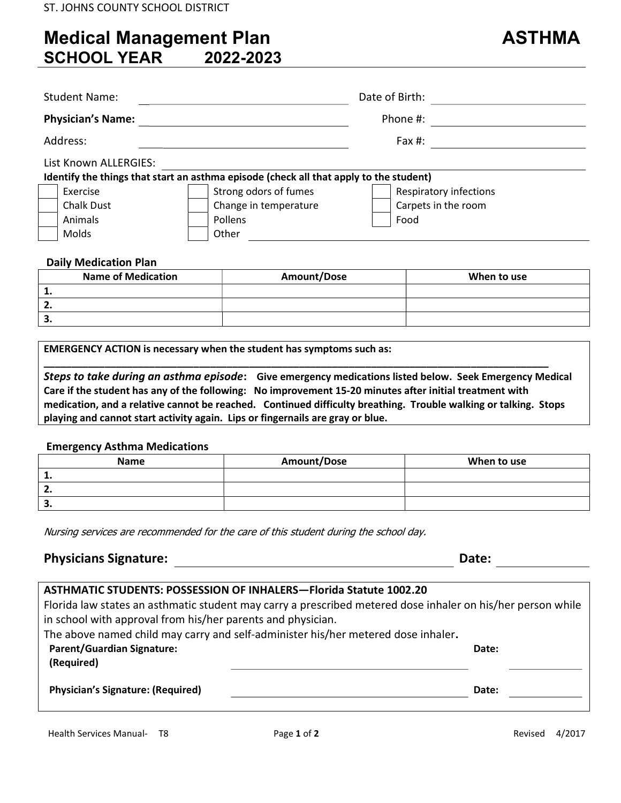# Medical Management Plan ASTHMA SCHOOL YEAR 2022-2023

| <b>Student Name:</b>     | Date of Birth: |  |
|--------------------------|----------------|--|
| <b>Physician's Name:</b> | Phone #:       |  |
| Address:                 | Fax $#$ :      |  |
| List Known ALLERGIES:    |                |  |

| Identify the things that start an asthma episode (check all that apply to the student) |                   |  |                       |                        |
|----------------------------------------------------------------------------------------|-------------------|--|-----------------------|------------------------|
|                                                                                        | Exercise          |  | Strong odors of fumes | Respiratory infections |
|                                                                                        | <b>Chalk Dust</b> |  | Change in temperature | Carpets in the room    |
|                                                                                        | Animals           |  | Pollens               | Food                   |
|                                                                                        | Molds             |  | Other                 |                        |

### Daily Medication Plan

|     | <b>Name of Medication</b> | Amount/Dose | When to use |
|-----|---------------------------|-------------|-------------|
| . . |                           |             |             |
| . . |                           |             |             |
|     |                           |             |             |

EMERGENCY ACTION is necessary when the student has symptoms such as:

Steps to take during an asthma episode: Give emergency medications listed below. Seek Emergency Medical Care if the student has any of the following: No improvement 15-20 minutes after initial treatment with medication, and a relative cannot be reached. Continued difficulty breathing. Trouble walking or talking. Stops playing and cannot start activity again. Lips or fingernails are gray or blue.

\_\_\_\_\_\_\_\_\_\_\_\_\_\_\_\_\_\_\_\_\_\_\_\_\_\_\_\_\_\_\_\_\_\_\_\_\_\_\_\_\_\_\_\_\_\_\_\_\_\_\_\_\_\_\_\_\_\_\_\_\_\_\_\_\_\_\_\_\_\_\_\_\_\_\_\_\_\_\_\_\_\_\_\_\_\_\_\_\_\_\_

#### Emergency Asthma Medications

| <b>Name</b> | Amount/Dose | When to use |
|-------------|-------------|-------------|
|             |             |             |
| . .         |             |             |
| э.          |             |             |

Nursing services are recommended for the care of this student during the school day.

## Physicians Signature: The Contract of the Contract of the Contract of Contract of Contract of Contract of Contract of Contract of Contract of Contract of Contract of Contract of Contract of Contract of Contract of Contract

| <b>ASTHMATIC STUDENTS: POSSESSION OF INHALERS-Florida Statute 1002.20</b>                                   |       |  |  |
|-------------------------------------------------------------------------------------------------------------|-------|--|--|
| Florida law states an asthmatic student may carry a prescribed metered dose inhaler on his/her person while |       |  |  |
| in school with approval from his/her parents and physician.                                                 |       |  |  |
| The above named child may carry and self-administer his/her metered dose inhaler.                           |       |  |  |
| <b>Parent/Guardian Signature:</b>                                                                           | Date: |  |  |
| (Required)                                                                                                  |       |  |  |
|                                                                                                             |       |  |  |
| <b>Physician's Signature: (Required)</b>                                                                    | Date: |  |  |
|                                                                                                             |       |  |  |